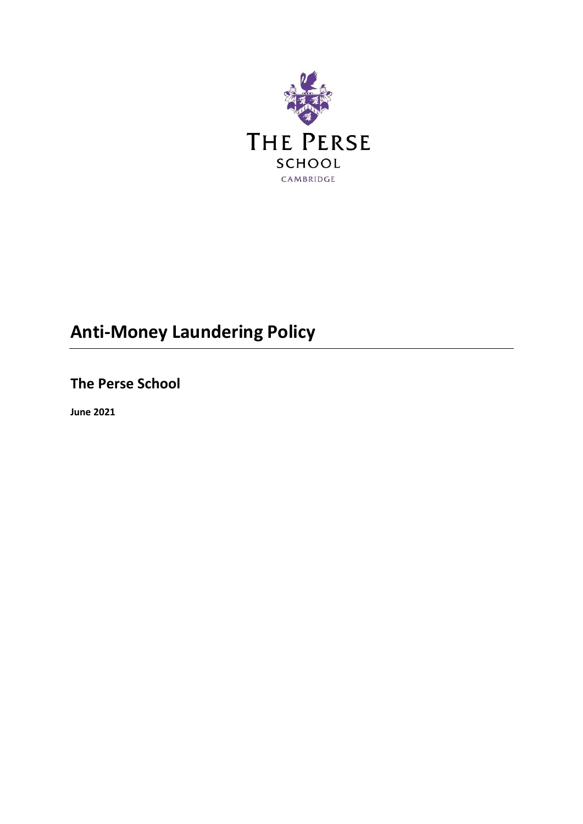

# **Anti-Money Laundering Policy**

**The Perse School**

**June 2021**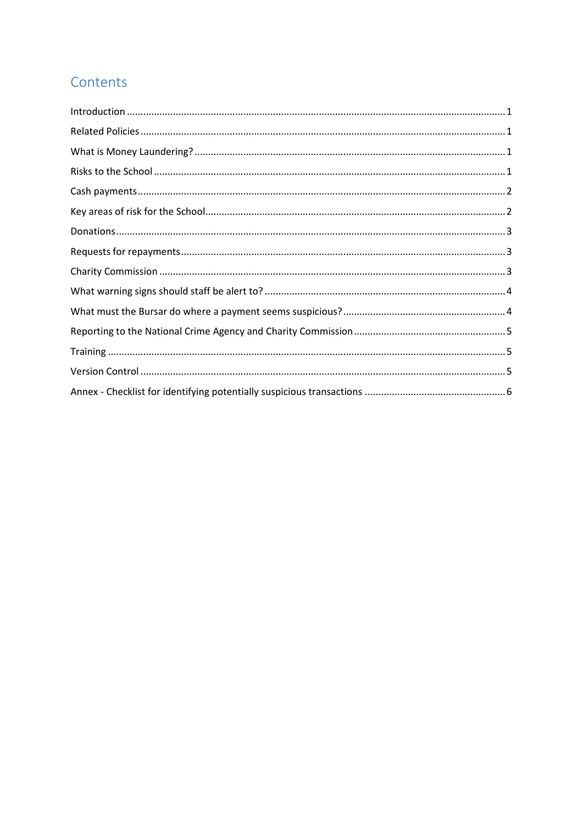# Contents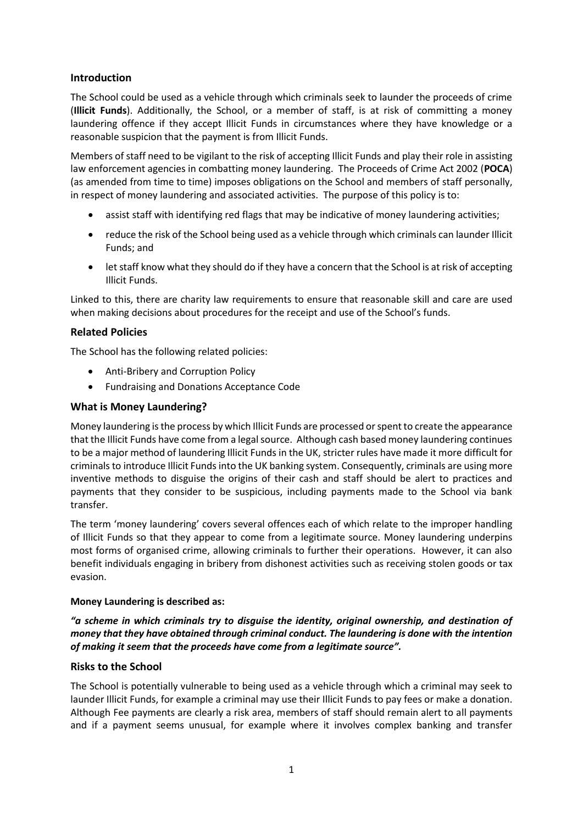# <span id="page-2-0"></span>**Introduction**

The School could be used as a vehicle through which criminals seek to launder the proceeds of crime (**Illicit Funds**). Additionally, the School, or a member of staff, is at risk of committing a money laundering offence if they accept Illicit Funds in circumstances where they have knowledge or a reasonable suspicion that the payment is from Illicit Funds.

Members of staff need to be vigilant to the risk of accepting Illicit Funds and play their role in assisting law enforcement agencies in combatting money laundering. The Proceeds of Crime Act 2002 (**POCA**) (as amended from time to time) imposes obligations on the School and members of staff personally, in respect of money laundering and associated activities. The purpose of this policy is to:

- assist staff with identifying red flags that may be indicative of money laundering activities;
- reduce the risk of the School being used as a vehicle through which criminals can launder Illicit Funds; and
- let staff know what they should do if they have a concern that the School is at risk of accepting Illicit Funds.

Linked to this, there are charity law requirements to ensure that reasonable skill and care are used when making decisions about procedures for the receipt and use of the School's funds.

# <span id="page-2-1"></span>**Related Policies**

The School has the following related policies:

- Anti-Bribery and Corruption Policy
- Fundraising and Donations Acceptance Code

# <span id="page-2-2"></span>**What is Money Laundering?**

Money laundering is the process by which Illicit Funds are processed or spent to create the appearance that the Illicit Funds have come from a legal source. Although cash based money laundering continues to be a major method of laundering Illicit Funds in the UK, stricter rules have made it more difficult for criminals to introduce Illicit Funds into the UK banking system. Consequently, criminals are using more inventive methods to disguise the origins of their cash and staff should be alert to practices and payments that they consider to be suspicious, including payments made to the School via bank transfer.

The term 'money laundering' covers several offences each of which relate to the improper handling of Illicit Funds so that they appear to come from a legitimate source. Money laundering underpins most forms of organised crime, allowing criminals to further their operations. However, it can also benefit individuals engaging in bribery from dishonest activities such as receiving stolen goods or tax evasion.

### **Money Laundering is described as:**

*"a scheme in which criminals try to disguise the identity, original ownership, and destination of money that they have obtained through criminal conduct. The laundering is done with the intention of making it seem that the proceeds have come from a legitimate source".*

### <span id="page-2-3"></span>**Risks to the School**

The School is potentially vulnerable to being used as a vehicle through which a criminal may seek to launder Illicit Funds, for example a criminal may use their Illicit Funds to pay fees or make a donation. Although Fee payments are clearly a risk area, members of staff should remain alert to all payments and if a payment seems unusual, for example where it involves complex banking and transfer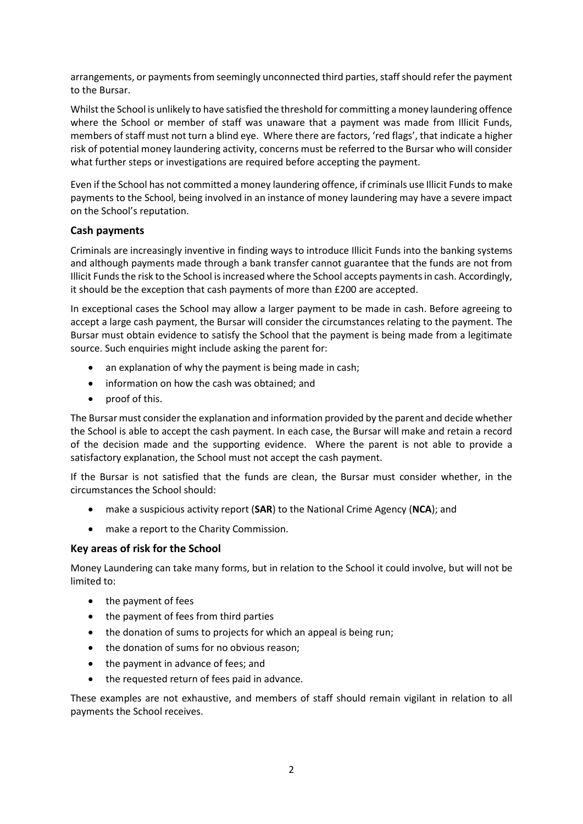arrangements, or payments from seemingly unconnected third parties, staff should refer the payment to the Bursar.

Whilst the School is unlikely to have satisfied the threshold for committing a money laundering offence where the School or member of staff was unaware that a payment was made from Illicit Funds, members of staff must not turn a blind eye. Where there are factors, 'red flags', that indicate a higher risk of potential money laundering activity, concerns must be referred to the Bursar who will consider what further steps or investigations are required before accepting the payment.

Even if the School has not committed a money laundering offence, if criminals use Illicit Funds to make payments to the School, being involved in an instance of money laundering may have a severe impact on the School's reputation.

# <span id="page-3-0"></span>**Cash payments**

Criminals are increasingly inventive in finding ways to introduce Illicit Funds into the banking systems and although payments made through a bank transfer cannot guarantee that the funds are not from Illicit Fundsthe risk to the School is increased where the School accepts payments in cash. Accordingly, it should be the exception that cash payments of more than £200 are accepted.

In exceptional cases the School may allow a larger payment to be made in cash. Before agreeing to accept a large cash payment, the Bursar will consider the circumstances relating to the payment. The Bursar must obtain evidence to satisfy the School that the payment is being made from a legitimate source. Such enquiries might include asking the parent for:

- an explanation of why the payment is being made in cash;
- information on how the cash was obtained; and
- proof of this.

The Bursar must consider the explanation and information provided by the parent and decide whether the School is able to accept the cash payment. In each case, the Bursar will make and retain a record of the decision made and the supporting evidence. Where the parent is not able to provide a satisfactory explanation, the School must not accept the cash payment.

If the Bursar is not satisfied that the funds are clean, the Bursar must consider whether, in the circumstances the School should:

- make a suspicious activity report (**SAR**) to the National Crime Agency (**NCA**); and
- make a report to the Charity Commission.

### <span id="page-3-1"></span>**Key areas of risk for the School**

Money Laundering can take many forms, but in relation to the School it could involve, but will not be limited to:

- the payment of fees
- the payment of fees from third parties
- the donation of sums to projects for which an appeal is being run;
- the donation of sums for no obvious reason;
- the payment in advance of fees; and
- the requested return of fees paid in advance.

These examples are not exhaustive, and members of staff should remain vigilant in relation to all payments the School receives.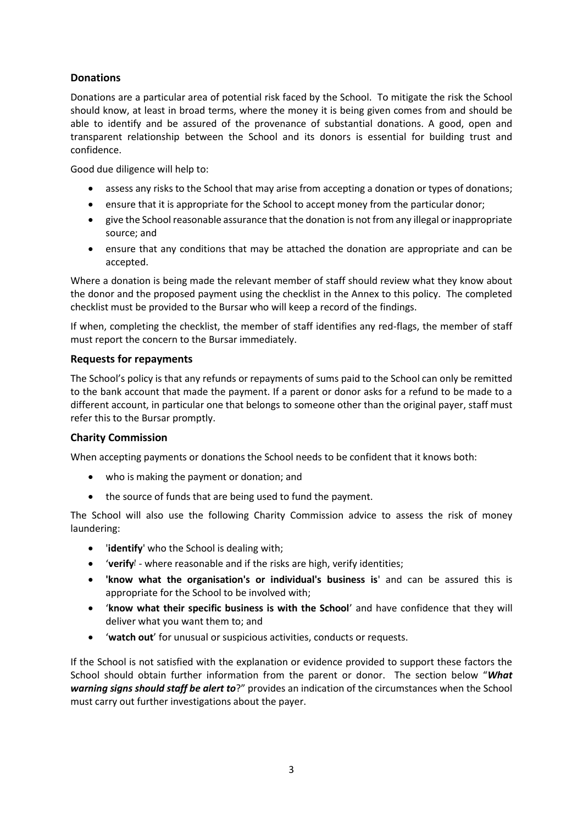# <span id="page-4-0"></span>**Donations**

Donations are a particular area of potential risk faced by the School. To mitigate the risk the School should know, at least in broad terms, where the money it is being given comes from and should be able to identify and be assured of the provenance of substantial donations. A good, open and transparent relationship between the School and its donors is essential for building trust and confidence.

Good due diligence will help to:

- assess any risks to the School that may arise from accepting a donation or types of donations;
- ensure that it is appropriate for the School to accept money from the particular donor;
- give the School reasonable assurance that the donation is not from any illegal or inappropriate source; and
- ensure that any conditions that may be attached the donation are appropriate and can be accepted.

Where a donation is being made the relevant member of staff should review what they know about the donor and the proposed payment using the checklist in the Annex to this policy. The completed checklist must be provided to the Bursar who will keep a record of the findings.

If when, completing the checklist, the member of staff identifies any red-flags, the member of staff must report the concern to the Bursar immediately.

# <span id="page-4-1"></span>**Requests for repayments**

The School's policy is that any refunds or repayments of sums paid to the School can only be remitted to the bank account that made the payment. If a parent or donor asks for a refund to be made to a different account, in particular one that belongs to someone other than the original payer, staff must refer this to the Bursar promptly.

# <span id="page-4-2"></span>**Charity Commission**

When accepting payments or donations the School needs to be confident that it knows both:

- who is making the payment or donation; and
- the source of funds that are being used to fund the payment.

The School will also use the following Charity Commission advice to assess the risk of money laundering:

- '**identify**' who the School is dealing with;
- **•** 'verify<sup>!</sup> where reasonable and if the risks are high, verify identities;
- **'know what the organisation's or individual's business is**' and can be assured this is appropriate for the School to be involved with;
- '**know what their specific business is with the School**' and have confidence that they will deliver what you want them to; and
- '**watch out**' for unusual or suspicious activities, conducts or requests.

If the School is not satisfied with the explanation or evidence provided to support these factors the School should obtain further information from the parent or donor. The section below "*What warning signs should staff be alert to*?" provides an indication of the circumstances when the School must carry out further investigations about the payer.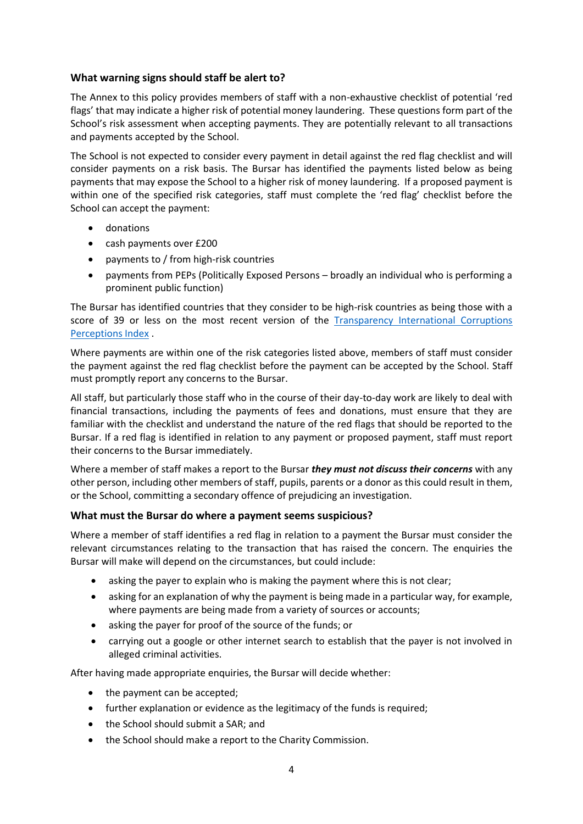# <span id="page-5-0"></span>**What warning signs should staff be alert to?**

The Annex to this policy provides members of staff with a non-exhaustive checklist of potential 'red flags' that may indicate a higher risk of potential money laundering. These questions form part of the School's risk assessment when accepting payments. They are potentially relevant to all transactions and payments accepted by the School.

The School is not expected to consider every payment in detail against the red flag checklist and will consider payments on a risk basis. The Bursar has identified the payments listed below as being payments that may expose the School to a higher risk of money laundering. If a proposed payment is within one of the specified risk categories, staff must complete the 'red flag' checklist before the School can accept the payment:

- donations
- cash payments over £200
- payments to / from high-risk countries
- payments from PEPs (Politically Exposed Persons broadly an individual who is performing a prominent public function)

The Bursar has identified countries that they consider to be high-risk countries as being those with a score of 39 or less on the most recent version of the [Transparency International Corruptions](https://www.transparency.org/en/cpi/2020/index/nzl)  [Perceptions Index](https://www.transparency.org/en/cpi/2020/index/nzl) .

Where payments are within one of the risk categories listed above, members of staff must consider the payment against the red flag checklist before the payment can be accepted by the School. Staff must promptly report any concerns to the Bursar.

All staff, but particularly those staff who in the course of their day-to-day work are likely to deal with financial transactions, including the payments of fees and donations, must ensure that they are familiar with the checklist and understand the nature of the red flags that should be reported to the Bursar. If a red flag is identified in relation to any payment or proposed payment, staff must report their concerns to the Bursar immediately.

Where a member of staff makes a report to the Bursar *they must not discuss their concerns* with any other person, including other members of staff, pupils, parents or a donor as this could result in them, or the School, committing a secondary offence of prejudicing an investigation.

# <span id="page-5-1"></span>**What must the Bursar do where a payment seems suspicious?**

Where a member of staff identifies a red flag in relation to a payment the Bursar must consider the relevant circumstances relating to the transaction that has raised the concern. The enquiries the Bursar will make will depend on the circumstances, but could include:

- asking the payer to explain who is making the payment where this is not clear;
- asking for an explanation of why the payment is being made in a particular way, for example, where payments are being made from a variety of sources or accounts;
- asking the payer for proof of the source of the funds; or
- carrying out a google or other internet search to establish that the payer is not involved in alleged criminal activities.

After having made appropriate enquiries, the Bursar will decide whether:

- the payment can be accepted;
- further explanation or evidence as the legitimacy of the funds is required;
- the School should submit a SAR: and
- the School should make a report to the Charity Commission.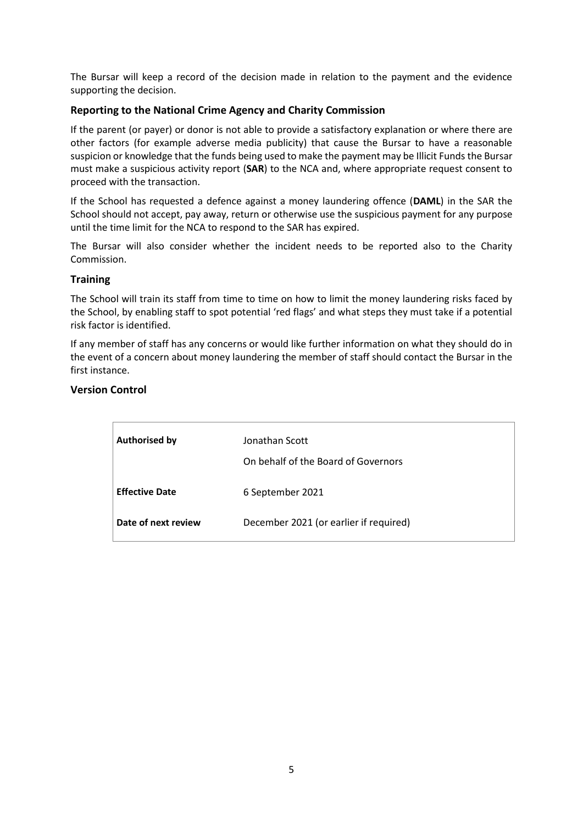The Bursar will keep a record of the decision made in relation to the payment and the evidence supporting the decision.

# <span id="page-6-0"></span>**Reporting to the National Crime Agency and Charity Commission**

If the parent (or payer) or donor is not able to provide a satisfactory explanation or where there are other factors (for example adverse media publicity) that cause the Bursar to have a reasonable suspicion or knowledge that the funds being used to make the payment may be Illicit Funds the Bursar must make a suspicious activity report (**SAR**) to the NCA and, where appropriate request consent to proceed with the transaction.

If the School has requested a defence against a money laundering offence (**DAML**) in the SAR the School should not accept, pay away, return or otherwise use the suspicious payment for any purpose until the time limit for the NCA to respond to the SAR has expired.

The Bursar will also consider whether the incident needs to be reported also to the Charity Commission.

# <span id="page-6-1"></span>**Training**

The School will train its staff from time to time on how to limit the money laundering risks faced by the School, by enabling staff to spot potential 'red flags' and what steps they must take if a potential risk factor is identified.

If any member of staff has any concerns or would like further information on what they should do in the event of a concern about money laundering the member of staff should contact the Bursar in the first instance.

# <span id="page-6-2"></span>**Version Control**

| <b>Authorised by</b>  | Jonathan Scott<br>On behalf of the Board of Governors |
|-----------------------|-------------------------------------------------------|
| <b>Effective Date</b> | 6 September 2021                                      |
| Date of next review   | December 2021 (or earlier if required)                |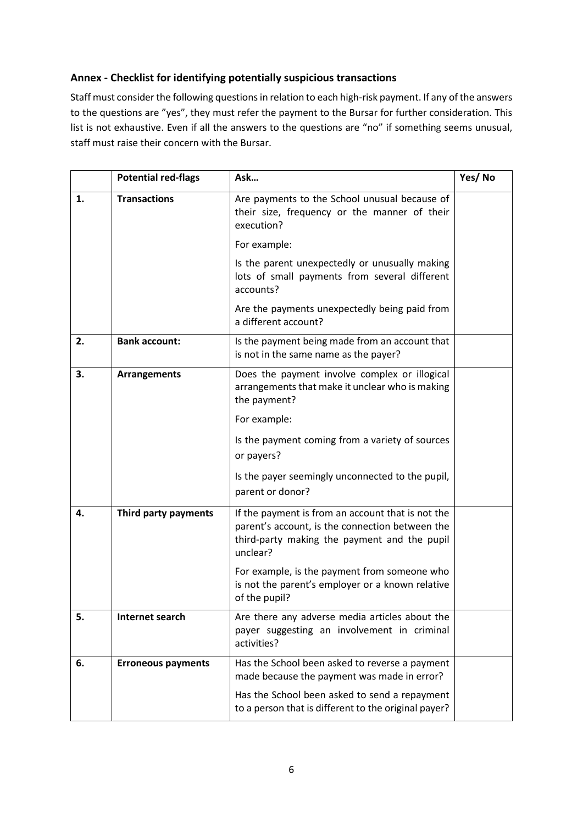# <span id="page-7-0"></span>**Annex - Checklist for identifying potentially suspicious transactions**

Staff must consider the following questions in relation to each high-risk payment. If any of the answers to the questions are "yes", they must refer the payment to the Bursar for further consideration. This list is not exhaustive. Even if all the answers to the questions are "no" if something seems unusual, staff must raise their concern with the Bursar.

|    | <b>Potential red-flags</b> | Ask                                                                                                                                                              | Yes/No |
|----|----------------------------|------------------------------------------------------------------------------------------------------------------------------------------------------------------|--------|
| 1. | <b>Transactions</b>        | Are payments to the School unusual because of<br>their size, frequency or the manner of their<br>execution?                                                      |        |
|    |                            | For example:                                                                                                                                                     |        |
|    |                            | Is the parent unexpectedly or unusually making<br>lots of small payments from several different<br>accounts?                                                     |        |
|    |                            | Are the payments unexpectedly being paid from<br>a different account?                                                                                            |        |
| 2. | <b>Bank account:</b>       | Is the payment being made from an account that<br>is not in the same name as the payer?                                                                          |        |
| 3. | <b>Arrangements</b>        | Does the payment involve complex or illogical<br>arrangements that make it unclear who is making<br>the payment?                                                 |        |
|    |                            | For example:                                                                                                                                                     |        |
|    |                            | Is the payment coming from a variety of sources<br>or payers?                                                                                                    |        |
|    |                            | Is the payer seemingly unconnected to the pupil,<br>parent or donor?                                                                                             |        |
| 4. | Third party payments       | If the payment is from an account that is not the<br>parent's account, is the connection between the<br>third-party making the payment and the pupil<br>unclear? |        |
|    |                            | For example, is the payment from someone who<br>is not the parent's employer or a known relative<br>of the pupil?                                                |        |
| 5. | Internet search            | Are there any adverse media articles about the<br>payer suggesting an involvement in criminal<br>activities?                                                     |        |
| 6. | <b>Erroneous payments</b>  | Has the School been asked to reverse a payment<br>made because the payment was made in error?                                                                    |        |
|    |                            | Has the School been asked to send a repayment<br>to a person that is different to the original payer?                                                            |        |